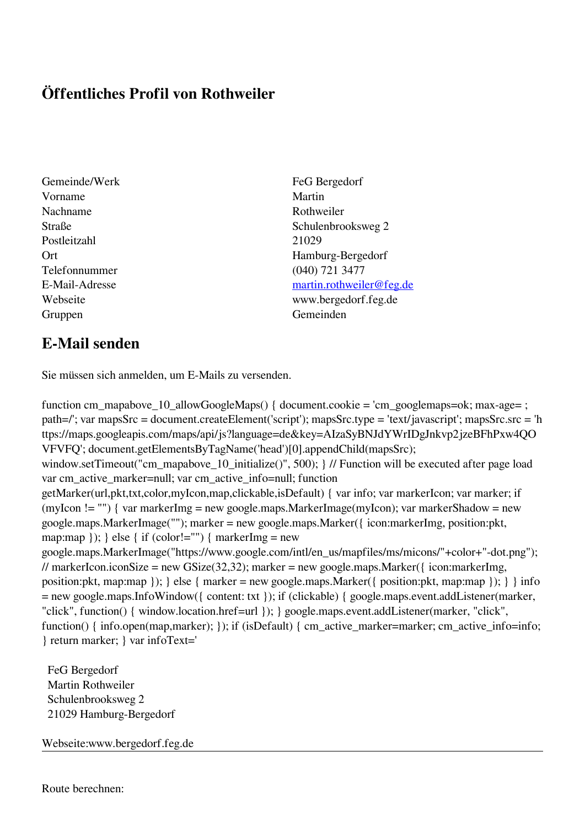## **Öffentliches Profil von Rothweiler**

Gemeinde/Werk FeG Bergedorf Vorname Martin Nachname Rothweiler Postleitzahl 21029 Telefonnummer (040) 721 3477 Gruppen Gemeinden Gemeinden Gemeinden Gemeinden Gemeinden Gemeinden Gemeinden Gemeinden Gemeinden Gemeinden G

## Straße Schulenbrooksweg 2 Ort Hamburg-Bergedorf E-Mail-Adresse [martin.rothweiler@feg.de](mailto:martin.rothweiler@feg.de) Webseite www.bergedorf.feg.de

## **E-Mail senden**

Sie müssen sich anmelden, um E-Mails zu versenden.

function cm\_mapabove\_10\_allowGoogleMaps() { document.cookie = 'cm\_googlemaps=ok; max-age= ; path=/'; var mapsSrc = document.createElement('script'); mapsSrc.type = 'text/javascript'; mapsSrc.src = 'h ttps://maps.googleapis.com/maps/api/js?language=de&key=AIzaSyBNJdYWrIDgJnkvp2jzeBFhPxw4QO VFVFQ'; document.getElementsByTagName('head')[0].appendChild(mapsSrc); window.setTimeout("cm\_mapabove\_10\_initialize()", 500); } // Function will be executed after page load var cm\_active\_marker=null; var cm\_active\_info=null; function getMarker(url,pkt,txt,color,myIcon,map,clickable,isDefault) { var info; var markerIcon; var marker; if (myIcon != "") { var markerImg = new google.maps.MarkerImage(myIcon); var markerShadow = new google.maps.MarkerImage(""); marker = new google.maps.Marker({ icon:markerImg, position:pkt, map:map  $\}$ ;  $\}$  else  $\{$  if (color!="")  $\{$  markerImg = new google.maps.MarkerImage("https://www.google.com/intl/en\_us/mapfiles/ms/micons/"+color+"-dot.png"); // markerIcon.iconSize = new GSize(32,32); marker = new google.maps.Marker({ $i$ con:markerImg, position:pkt, map:map }); } else { marker = new google.maps.Marker({ position:pkt, map:map }); } } info = new google.maps.InfoWindow({ content: txt }); if (clickable) { google.maps.event.addListener(marker, "click", function() { window.location.href=url }); } google.maps.event.addListener(marker, "click", function() { info.open(map,marker); }); if (isDefault) { cm\_active\_marker=marker; cm\_active\_info=info; } return marker; } var infoText='

 FeG Bergedorf Martin Rothweiler Schulenbrooksweg 2 21029 Hamburg-Bergedorf

Webseite:www.bergedorf.feg.de